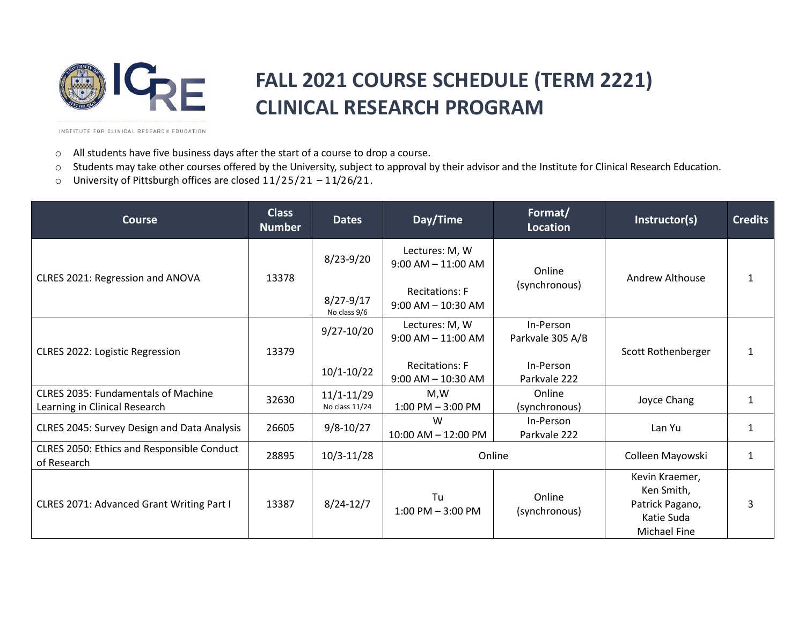

## **FALL 2021 COURSE SCHEDULE (TERM 2221) CLINICAL RESEARCH PROGRAM**

INSTITUTE FOR CLINICAL RESEARCH EDUCATION

- o All students have five business days after the start of a course to drop a course.
- o Students may take other courses offered by the University, subject to approval by their advisor and the Institute for Clinical Research Education.
- o University of Pittsburgh offices are closed 11/25/21 11/26/21.

| <b>Course</b>                                                               | <b>Class</b><br><b>Number</b> | <b>Dates</b>                     | Day/Time                                        | Format/<br>Location           | Instructor(s)                                                                        | <b>Credits</b> |
|-----------------------------------------------------------------------------|-------------------------------|----------------------------------|-------------------------------------------------|-------------------------------|--------------------------------------------------------------------------------------|----------------|
| CLRES 2021: Regression and ANOVA                                            | 13378                         | $8/23 - 9/20$                    | Lectures: M, W<br>$9:00$ AM $-11:00$ AM         | Online<br>(synchronous)       | <b>Andrew Althouse</b>                                                               |                |
|                                                                             |                               | $8/27 - 9/17$<br>No class 9/6    | <b>Recitations: F</b><br>$9:00$ AM $- 10:30$ AM |                               |                                                                                      |                |
| CLRES 2022: Logistic Regression                                             | 13379                         | $9/27 - 10/20$                   | Lectures: M, W<br>$9:00$ AM $- 11:00$ AM        | In-Person<br>Parkvale 305 A/B | Scott Rothenberger                                                                   | 1              |
|                                                                             |                               | $10/1 - 10/22$                   | <b>Recitations: F</b><br>$9:00$ AM $- 10:30$ AM | In-Person<br>Parkvale 222     |                                                                                      |                |
| <b>CLRES 2035: Fundamentals of Machine</b><br>Learning in Clinical Research | 32630                         | $11/1 - 11/29$<br>No class 11/24 | M,W<br>$1:00$ PM $-3:00$ PM                     | Online<br>(synchronous)       | Joyce Chang                                                                          | $\mathbf{1}$   |
| CLRES 2045: Survey Design and Data Analysis                                 | 26605                         | $9/8 - 10/27$                    | W<br>10:00 AM - 12:00 PM                        | In-Person<br>Parkvale 222     | Lan Yu                                                                               | $\mathbf{1}$   |
| CLRES 2050: Ethics and Responsible Conduct<br>of Research                   | 28895                         | $10/3 - 11/28$                   | Online                                          |                               | Colleen Mayowski                                                                     | $\mathbf{1}$   |
| CLRES 2071: Advanced Grant Writing Part I                                   | 13387                         | $8/24 - 12/7$                    | Tu<br>$1:00$ PM $-3:00$ PM                      | Online<br>(synchronous)       | Kevin Kraemer,<br>Ken Smith,<br>Patrick Pagano,<br>Katie Suda<br><b>Michael Fine</b> | 3              |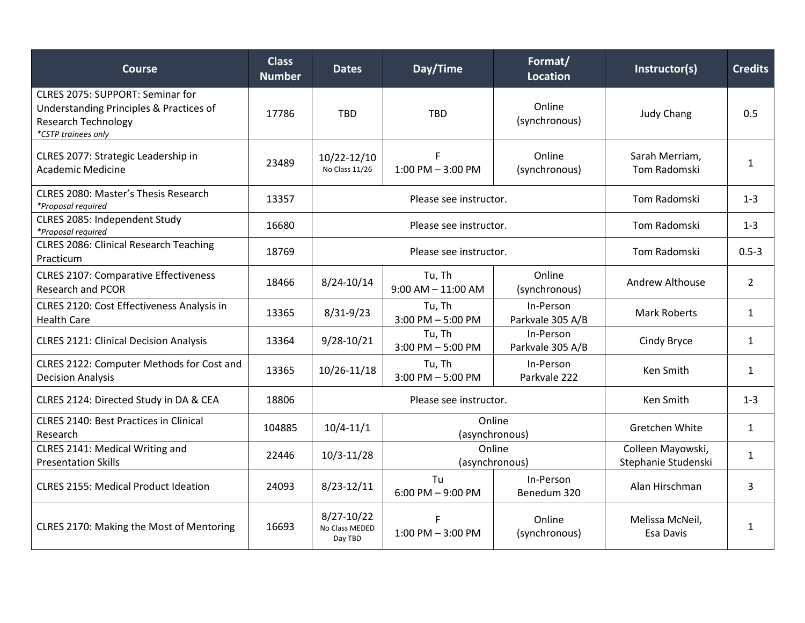| <b>Course</b>                                                                                                                    | <b>Class</b><br><b>Number</b> | <b>Dates</b>                                | Day/Time                         | Format/<br><b>Location</b>               | Instructor(s)                  | <b>Credits</b> |
|----------------------------------------------------------------------------------------------------------------------------------|-------------------------------|---------------------------------------------|----------------------------------|------------------------------------------|--------------------------------|----------------|
| CLRES 2075: SUPPORT: Seminar for<br>Understanding Principles & Practices of<br><b>Research Technology</b><br>*CSTP trainees only | 17786                         | <b>TBD</b>                                  | <b>TBD</b>                       | Online<br>(synchronous)                  | <b>Judy Chang</b>              | 0.5            |
| CLRES 2077: Strategic Leadership in<br><b>Academic Medicine</b>                                                                  | 23489                         | 10/22-12/10<br>No Class 11/26               | F<br>$1:00$ PM $-3:00$ PM        | Online<br>(synchronous)                  | Sarah Merriam,<br>Tom Radomski | $\mathbf{1}$   |
| <b>CLRES 2080: Master's Thesis Research</b><br>*Proposal required                                                                | 13357                         | Please see instructor.                      |                                  |                                          | Tom Radomski                   | $1 - 3$        |
| CLRES 2085: Independent Study<br>*Proposal required                                                                              | 16680                         | Please see instructor.                      |                                  |                                          | <b>Tom Radomski</b>            | $1 - 3$        |
| <b>CLRES 2086: Clinical Research Teaching</b><br>Practicum                                                                       | 18769                         | Please see instructor.                      |                                  |                                          | Tom Radomski                   | $0.5 - 3$      |
| <b>CLRES 2107: Comparative Effectiveness</b><br><b>Research and PCOR</b>                                                         | 18466                         | 8/24-10/14                                  | Tu, Th<br>$9:00$ AM $- 11:00$ AM | Online<br>(synchronous)                  | <b>Andrew Althouse</b>         | $\overline{2}$ |
| CLRES 2120: Cost Effectiveness Analysis in<br><b>Health Care</b>                                                                 | 13365                         | $8/31 - 9/23$                               | Tu, Th<br>$3:00$ PM $-5:00$ PM   | In-Person<br>Parkvale 305 A/B            | <b>Mark Roberts</b>            | $\mathbf{1}$   |
| <b>CLRES 2121: Clinical Decision Analysis</b>                                                                                    | 13364                         | 9/28-10/21                                  | Tu, Th<br>$3:00$ PM $-5:00$ PM   | In-Person<br>Parkvale 305 A/B            | Cindy Bryce                    | $\mathbf{1}$   |
| CLRES 2122: Computer Methods for Cost and<br><b>Decision Analysis</b>                                                            | 13365                         | 10/26-11/18                                 | Tu, Th<br>$3:00$ PM $-5:00$ PM   | In-Person<br>Parkvale 222                | Ken Smith                      | $\mathbf{1}$   |
| CLRES 2124: Directed Study in DA & CEA                                                                                           | 18806                         | Please see instructor.                      |                                  |                                          | Ken Smith                      | $1 - 3$        |
| <b>CLRES 2140: Best Practices in Clinical</b><br>Research                                                                        | 104885                        | Online<br>$10/4 - 11/1$<br>(asynchronous)   |                                  | Gretchen White                           | $\mathbf{1}$                   |                |
| CLRES 2141: Medical Writing and<br><b>Presentation Skills</b>                                                                    | 22446                         | Online<br>$10/3 - 11/28$<br>(asynchronous)  |                                  | Colleen Mayowski,<br>Stephanie Studenski | $\mathbf{1}$                   |                |
| <b>CLRES 2155: Medical Product Ideation</b>                                                                                      | 24093                         | $8/23 - 12/11$                              | Tu<br>$6:00$ PM $-9:00$ PM       | In-Person<br>Benedum 320                 | Alan Hirschman                 | 3              |
| CLRES 2170: Making the Most of Mentoring                                                                                         | 16693                         | $8/27 - 10/22$<br>No Class MEDED<br>Day TBD | F<br>$1:00$ PM $-3:00$ PM        | Online<br>(synchronous)                  | Melissa McNeil,<br>Esa Davis   | $\mathbf{1}$   |